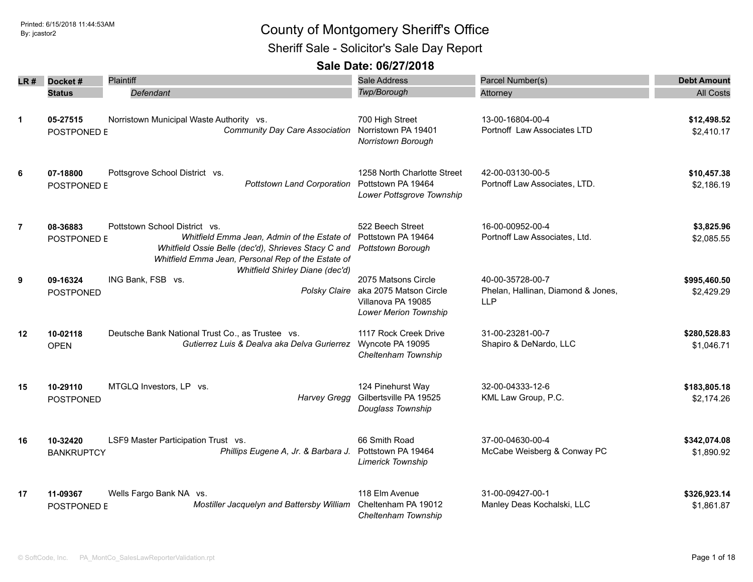Sheriff Sale - Solicitor's Sale Day Report

| LR #           | Docket#                       | <b>Plaintiff</b>                                                                                                                                                                                             | <b>Sale Address</b>                                                                          | Parcel Number(s)                                                     | <b>Debt Amount</b>         |
|----------------|-------------------------------|--------------------------------------------------------------------------------------------------------------------------------------------------------------------------------------------------------------|----------------------------------------------------------------------------------------------|----------------------------------------------------------------------|----------------------------|
|                | <b>Status</b>                 | Defendant                                                                                                                                                                                                    | Twp/Borough                                                                                  | Attorney                                                             | <b>All Costs</b>           |
| 1              | 05-27515<br>POSTPONED E       | Norristown Municipal Waste Authority vs.<br>Community Day Care Association                                                                                                                                   | 700 High Street<br>Norristown PA 19401<br>Norristown Borough                                 | 13-00-16804-00-4<br>Portnoff Law Associates LTD                      | \$12,498.52<br>\$2,410.17  |
| 6              | 07-18800<br>POSTPONED E       | Pottsgrove School District vs.<br>Pottstown Land Corporation Pottstown PA 19464                                                                                                                              | 1258 North Charlotte Street<br>Lower Pottsgrove Township                                     | 42-00-03130-00-5<br>Portnoff Law Associates, LTD.                    | \$10,457.38<br>\$2,186.19  |
| $\overline{7}$ | 08-36883<br>POSTPONED E       | Pottstown School District vs.<br>Whitfield Emma Jean, Admin of the Estate of Pottstown PA 19464<br>Whitfield Ossie Belle (dec'd), Shrieves Stacy C and<br>Whitfield Emma Jean, Personal Rep of the Estate of | 522 Beech Street<br>Pottstown Borough                                                        | 16-00-00952-00-4<br>Portnoff Law Associates, Ltd.                    | \$3,825.96<br>\$2,085.55   |
| 9              | 09-16324<br><b>POSTPONED</b>  | Whitfield Shirley Diane (dec'd)<br>ING Bank, FSB vs.<br>Polsky Claire                                                                                                                                        | 2075 Matsons Circle<br>aka 2075 Matson Circle<br>Villanova PA 19085<br>Lower Merion Township | 40-00-35728-00-7<br>Phelan, Hallinan, Diamond & Jones,<br><b>LLP</b> | \$995,460.50<br>\$2,429.29 |
| 12             | 10-02118<br><b>OPEN</b>       | Deutsche Bank National Trust Co., as Trustee vs.<br>Gutierrez Luis & Dealva aka Delva Gurierrez                                                                                                              | 1117 Rock Creek Drive<br>Wyncote PA 19095<br>Cheltenham Township                             | 31-00-23281-00-7<br>Shapiro & DeNardo, LLC                           | \$280,528.83<br>\$1,046.71 |
| 15             | 10-29110<br><b>POSTPONED</b>  | MTGLQ Investors, LP vs.<br><b>Harvey Gregg</b>                                                                                                                                                               | 124 Pinehurst Way<br>Gilbertsville PA 19525<br>Douglass Township                             | 32-00-04333-12-6<br>KML Law Group, P.C.                              | \$183,805.18<br>\$2,174.26 |
| 16             | 10-32420<br><b>BANKRUPTCY</b> | LSF9 Master Participation Trust vs.<br>Phillips Eugene A, Jr. & Barbara J.                                                                                                                                   | 66 Smith Road<br>Pottstown PA 19464<br><b>Limerick Township</b>                              | 37-00-04630-00-4<br>McCabe Weisberg & Conway PC                      | \$342,074.08<br>\$1,890.92 |
| 17             | 11-09367<br>POSTPONED E       | Wells Fargo Bank NA vs.<br>Mostiller Jacquelyn and Battersby William                                                                                                                                         | 118 Elm Avenue<br>Cheltenham PA 19012<br>Cheltenham Township                                 | 31-00-09427-00-1<br>Manley Deas Kochalski, LLC                       | \$326,923.14<br>\$1,861.87 |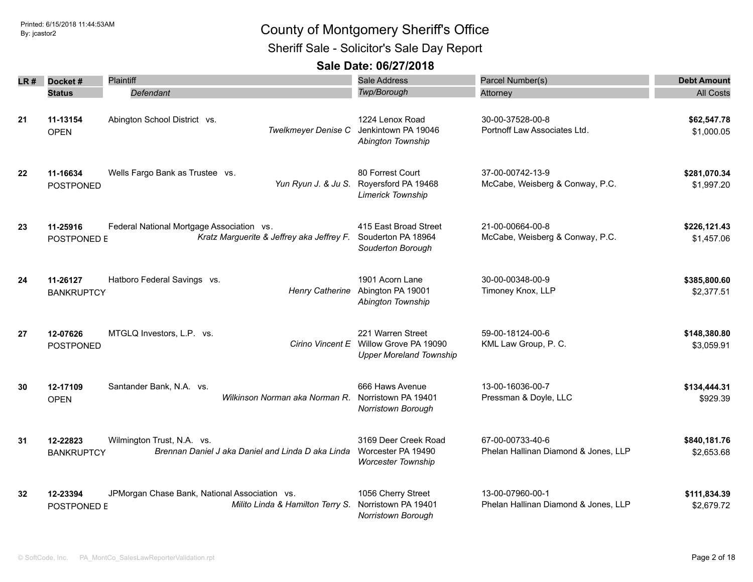Sheriff Sale - Solicitor's Sale Day Report

| LR # | Docket#<br><b>Status</b>      | Plaintiff<br>Defendant                                                                 | <b>Sale Address</b><br><b>Twp/Borough</b>                                                     | Parcel Number(s)<br>Attorney                             | <b>Debt Amount</b><br><b>All Costs</b> |
|------|-------------------------------|----------------------------------------------------------------------------------------|-----------------------------------------------------------------------------------------------|----------------------------------------------------------|----------------------------------------|
| 21   | 11-13154<br><b>OPEN</b>       | Abington School District vs.<br>Twelkmeyer Denise C                                    | 1224 Lenox Road<br>Jenkintown PA 19046<br>Abington Township                                   | 30-00-37528-00-8<br>Portnoff Law Associates Ltd.         | \$62,547.78<br>\$1,000.05              |
| 22   | 11-16634<br>POSTPONED         | Wells Fargo Bank as Trustee vs.                                                        | 80 Forrest Court<br>Yun Ryun J. & Ju S. Royersford PA 19468<br><b>Limerick Township</b>       | 37-00-00742-13-9<br>McCabe, Weisberg & Conway, P.C.      | \$281,070.34<br>\$1,997.20             |
| 23   | 11-25916<br>POSTPONED E       | Federal National Mortgage Association vs.<br>Kratz Marguerite & Jeffrey aka Jeffrey F. | 415 East Broad Street<br>Souderton PA 18964<br>Souderton Borough                              | 21-00-00664-00-8<br>McCabe, Weisberg & Conway, P.C.      | \$226,121.43<br>\$1,457.06             |
| 24   | 11-26127<br><b>BANKRUPTCY</b> | Hatboro Federal Savings vs.<br><b>Henry Catherine</b>                                  | 1901 Acorn Lane<br>Abington PA 19001<br>Abington Township                                     | 30-00-00348-00-9<br>Timoney Knox, LLP                    | \$385,800.60<br>\$2,377.51             |
| 27   | 12-07626<br><b>POSTPONED</b>  | MTGLQ Investors, L.P. vs.                                                              | 221 Warren Street<br>Cirino Vincent E Willow Grove PA 19090<br><b>Upper Moreland Township</b> | 59-00-18124-00-6<br>KML Law Group, P. C.                 | \$148,380.80<br>\$3,059.91             |
| 30   | 12-17109<br><b>OPEN</b>       | Santander Bank, N.A. vs.<br>Wilkinson Norman aka Norman R.                             | 666 Haws Avenue<br>Norristown PA 19401<br>Norristown Borough                                  | 13-00-16036-00-7<br>Pressman & Doyle, LLC                | \$134,444.31<br>\$929.39               |
| 31   | 12-22823<br><b>BANKRUPTCY</b> | Wilmington Trust, N.A. vs.<br>Brennan Daniel J aka Daniel and Linda D aka Linda        | 3169 Deer Creek Road<br>Worcester PA 19490<br><b>Worcester Township</b>                       | 67-00-00733-40-6<br>Phelan Hallinan Diamond & Jones, LLP | \$840,181.76<br>\$2,653.68             |
| 32   | 12-23394<br>POSTPONED E       | JPMorgan Chase Bank, National Association vs.<br>Milito Linda & Hamilton Terry S.      | 1056 Cherry Street<br>Norristown PA 19401<br><b>Norristown Borough</b>                        | 13-00-07960-00-1<br>Phelan Hallinan Diamond & Jones, LLP | \$111,834.39<br>\$2,679.72             |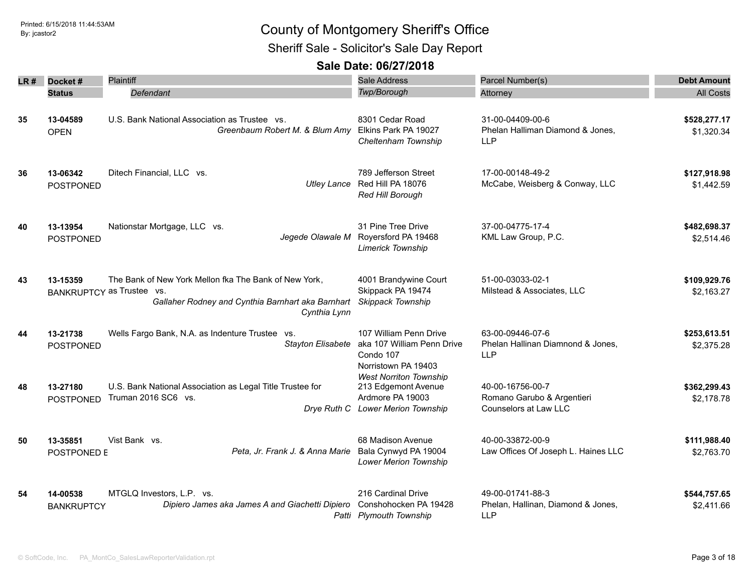Sheriff Sale - Solicitor's Sale Day Report

| LR # | Docket#                       | Plaintiff                                                                                                                                               | <b>Sale Address</b>                                                                                           | Parcel Number(s)                                                        | <b>Debt Amount</b>         |
|------|-------------------------------|---------------------------------------------------------------------------------------------------------------------------------------------------------|---------------------------------------------------------------------------------------------------------------|-------------------------------------------------------------------------|----------------------------|
|      | <b>Status</b>                 | Defendant                                                                                                                                               | Twp/Borough                                                                                                   | Attorney                                                                | <b>All Costs</b>           |
| 35   | 13-04589<br><b>OPEN</b>       | U.S. Bank National Association as Trustee vs.<br>Greenbaum Robert M. & Blum Amy                                                                         | 8301 Cedar Road<br>Elkins Park PA 19027<br>Cheltenham Township                                                | 31-00-04409-00-6<br>Phelan Halliman Diamond & Jones,<br><b>LLP</b>      | \$528,277.17<br>\$1,320.34 |
| 36   | 13-06342<br>POSTPONED         | Ditech Financial, LLC vs.<br><b>Utley Lance</b>                                                                                                         | 789 Jefferson Street<br>Red Hill PA 18076<br>Red Hill Borough                                                 | 17-00-00148-49-2<br>McCabe, Weisberg & Conway, LLC                      | \$127,918.98<br>\$1,442.59 |
| 40   | 13-13954<br><b>POSTPONED</b>  | Nationstar Mortgage, LLC vs.<br>Jegede Olawale M                                                                                                        | 31 Pine Tree Drive<br>Royersford PA 19468<br><b>Limerick Township</b>                                         | 37-00-04775-17-4<br>KML Law Group, P.C.                                 | \$482,698.37<br>\$2,514.46 |
| 43   | 13-15359                      | The Bank of New York Mellon fka The Bank of New York,<br>BANKRUPTCY as Trustee vs.<br>Gallaher Rodney and Cynthia Barnhart aka Barnhart<br>Cynthia Lynn | 4001 Brandywine Court<br>Skippack PA 19474<br>Skippack Township                                               | 51-00-03033-02-1<br>Milstead & Associates, LLC                          | \$109,929.76<br>\$2,163.27 |
| 44   | 13-21738<br>POSTPONED         | Wells Fargo Bank, N.A. as Indenture Trustee vs.<br><b>Stayton Elisabete</b>                                                                             | 107 William Penn Drive<br>aka 107 William Penn Drive<br>Condo 107<br>Norristown PA 19403                      | 63-00-09446-07-6<br>Phelan Hallinan Diamnond & Jones,<br><b>LLP</b>     | \$253,613.51<br>\$2,375.28 |
| 48   | 13-27180<br><b>POSTPONED</b>  | U.S. Bank National Association as Legal Title Trustee for<br>Truman 2016 SC6 vs.                                                                        | <b>West Norriton Township</b><br>213 Edgemont Avenue<br>Ardmore PA 19003<br>Drye Ruth C Lower Merion Township | 40-00-16756-00-7<br>Romano Garubo & Argentieri<br>Counselors at Law LLC | \$362,299.43<br>\$2,178.78 |
| 50   | 13-35851<br>POSTPONED E       | Vist Bank vs.<br>Peta, Jr. Frank J. & Anna Marie                                                                                                        | 68 Madison Avenue<br>Bala Cynwyd PA 19004<br>Lower Merion Township                                            | 40-00-33872-00-9<br>Law Offices Of Joseph L. Haines LLC                 | \$111,988.40<br>\$2,763.70 |
| 54   | 14-00538<br><b>BANKRUPTCY</b> | MTGLQ Investors, L.P. vs.<br>Dipiero James aka James A and Giachetti Dipiero                                                                            | 216 Cardinal Drive<br>Conshohocken PA 19428<br>Patti Plymouth Township                                        | 49-00-01741-88-3<br>Phelan, Hallinan, Diamond & Jones,<br><b>LLP</b>    | \$544,757.65<br>\$2,411.66 |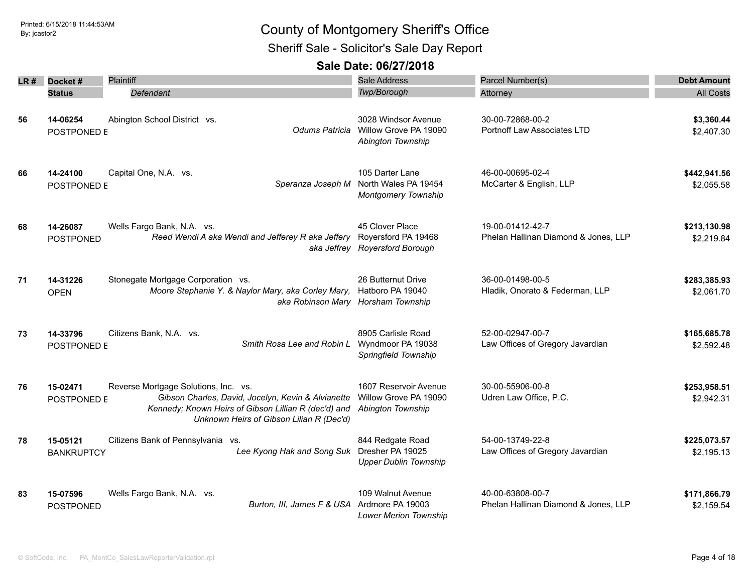Sheriff Sale - Solicitor's Sale Day Report

| LR # | Docket#                       | <b>Plaintiff</b>                                                                                                                                                                               | <b>Sale Address</b>                                                          | Parcel Number(s)                                         | <b>Debt Amount</b>         |
|------|-------------------------------|------------------------------------------------------------------------------------------------------------------------------------------------------------------------------------------------|------------------------------------------------------------------------------|----------------------------------------------------------|----------------------------|
|      | <b>Status</b>                 | Defendant                                                                                                                                                                                      | Twp/Borough                                                                  | Attorney                                                 | <b>All Costs</b>           |
| 56   | 14-06254<br>POSTPONED E       | Abington School District vs.<br>Odums Patricia                                                                                                                                                 | 3028 Windsor Avenue<br>Willow Grove PA 19090<br>Abington Township            | 30-00-72868-00-2<br>Portnoff Law Associates LTD          | \$3,360.44<br>\$2,407.30   |
| 66   | 14-24100<br>POSTPONED E       | Capital One, N.A. vs.<br>Speranza Joseph M                                                                                                                                                     | 105 Darter Lane<br>North Wales PA 19454<br><b>Montgomery Township</b>        | 46-00-00695-02-4<br>McCarter & English, LLP              | \$442,941.56<br>\$2,055.58 |
| 68   | 14-26087<br><b>POSTPONED</b>  | Wells Fargo Bank, N.A. vs.<br>Reed Wendi A aka Wendi and Jefferey R aka Jeffery                                                                                                                | 45 Clover Place<br>Royersford PA 19468<br>aka Jeffrey Royersford Borough     | 19-00-01412-42-7<br>Phelan Hallinan Diamond & Jones, LLP | \$213,130.98<br>\$2,219.84 |
| 71   | 14-31226<br><b>OPEN</b>       | Stonegate Mortgage Corporation vs.<br>Moore Stephanie Y. & Naylor Mary, aka Corley Mary,                                                                                                       | 26 Butternut Drive<br>Hatboro PA 19040<br>aka Robinson Mary Horsham Township | 36-00-01498-00-5<br>Hladik, Onorato & Federman, LLP      | \$283,385.93<br>\$2,061.70 |
| 73   | 14-33796<br>POSTPONED E       | Citizens Bank, N.A. vs.<br>Smith Rosa Lee and Robin L                                                                                                                                          | 8905 Carlisle Road<br>Wyndmoor PA 19038<br>Springfield Township              | 52-00-02947-00-7<br>Law Offices of Gregory Javardian     | \$165,685.78<br>\$2,592.48 |
| 76   | 15-02471<br>POSTPONED E       | Reverse Mortgage Solutions, Inc. vs.<br>Gibson Charles, David, Jocelyn, Kevin & Alvianette<br>Kennedy; Known Heirs of Gibson Lillian R (dec'd) and<br>Unknown Heirs of Gibson Lilian R (Dec'd) | 1607 Reservoir Avenue<br>Willow Grove PA 19090<br>Abington Township          | 30-00-55906-00-8<br>Udren Law Office, P.C.               | \$253,958.51<br>\$2,942.31 |
| 78   | 15-05121<br><b>BANKRUPTCY</b> | Citizens Bank of Pennsylvania vs.<br>Lee Kyong Hak and Song Suk                                                                                                                                | 844 Redgate Road<br>Dresher PA 19025<br><b>Upper Dublin Township</b>         | 54-00-13749-22-8<br>Law Offices of Gregory Javardian     | \$225,073.57<br>\$2,195.13 |
| 83   | 15-07596<br><b>POSTPONED</b>  | Wells Fargo Bank, N.A. vs.<br>Burton, III, James F & USA Ardmore PA 19003                                                                                                                      | 109 Walnut Avenue<br><b>Lower Merion Township</b>                            | 40-00-63808-00-7<br>Phelan Hallinan Diamond & Jones, LLP | \$171,866.79<br>\$2,159.54 |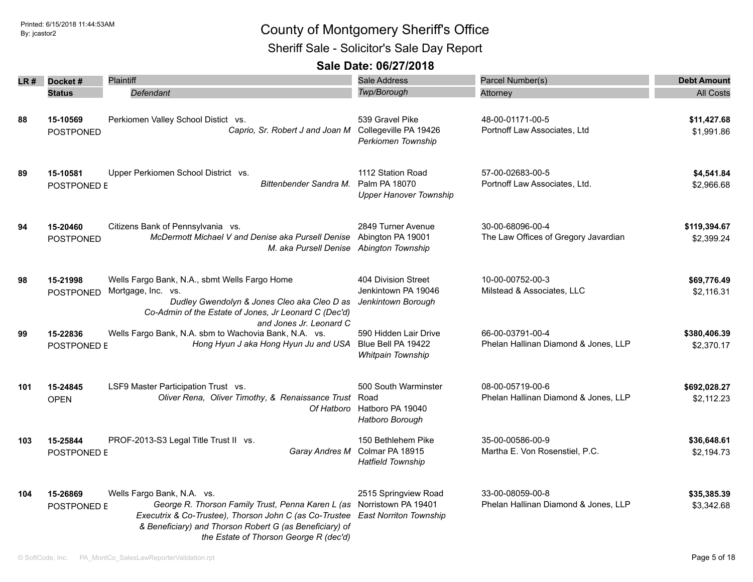Sheriff Sale - Solicitor's Sale Day Report

| LR # | Docket#                        | Plaintiff                                                                                                                                                                                                                                                                                 | <b>Sale Address</b>                                                     | Parcel Number(s)                                         | <b>Debt Amount</b>         |
|------|--------------------------------|-------------------------------------------------------------------------------------------------------------------------------------------------------------------------------------------------------------------------------------------------------------------------------------------|-------------------------------------------------------------------------|----------------------------------------------------------|----------------------------|
|      | <b>Status</b>                  | Defendant                                                                                                                                                                                                                                                                                 | <b>Twp/Borough</b>                                                      | Attorney                                                 | <b>All Costs</b>           |
| 88   | 15-10569<br><b>POSTPONED</b>   | Perkiomen Valley School Distict vs.<br>Caprio, Sr. Robert J and Joan M Collegeville PA 19426                                                                                                                                                                                              | 539 Gravel Pike<br>Perkiomen Township                                   | 48-00-01171-00-5<br>Portnoff Law Associates, Ltd         | \$11,427.68<br>\$1,991.86  |
| 89   | 15-10581<br>POSTPONED E        | Upper Perkiomen School District vs.<br>Bittenbender Sandra M.                                                                                                                                                                                                                             | 1112 Station Road<br>Palm PA 18070<br><b>Upper Hanover Township</b>     | 57-00-02683-00-5<br>Portnoff Law Associates, Ltd.        | \$4,541.84<br>\$2,966.68   |
| 94   | 15-20460<br><b>POSTPONED</b>   | Citizens Bank of Pennsylvania vs.<br>McDermott Michael V and Denise aka Pursell Denise Abington PA 19001<br>M. aka Pursell Denise Abington Township                                                                                                                                       | 2849 Turner Avenue                                                      | 30-00-68096-00-4<br>The Law Offices of Gregory Javardian | \$119,394.67<br>\$2,399.24 |
| 98   | 15-21998<br><b>POSTPONED</b>   | Wells Fargo Bank, N.A., sbmt Wells Fargo Home<br>Mortgage, Inc. vs.<br>Dudley Gwendolyn & Jones Cleo aka Cleo D as<br>Co-Admin of the Estate of Jones, Jr Leonard C (Dec'd)<br>and Jones Jr. Leonard C                                                                                    | 404 Division Street<br>Jenkintown PA 19046<br>Jenkintown Borough        | 10-00-00752-00-3<br>Milstead & Associates, LLC           | \$69,776.49<br>\$2,116.31  |
| 99   | 15-22836<br><b>POSTPONED E</b> | Wells Fargo Bank, N.A. sbm to Wachovia Bank, N.A. vs.<br>Hong Hyun J aka Hong Hyun Ju and USA                                                                                                                                                                                             | 590 Hidden Lair Drive<br>Blue Bell PA 19422<br><b>Whitpain Township</b> | 66-00-03791-00-4<br>Phelan Hallinan Diamond & Jones, LLP | \$380,406.39<br>\$2,370.17 |
| 101  | 15-24845<br><b>OPEN</b>        | LSF9 Master Participation Trust vs.<br>Oliver Rena, Oliver Timothy, & Renaissance Trust Road                                                                                                                                                                                              | 500 South Warminster<br>Of Hatboro Hatboro PA 19040<br>Hatboro Borough  | 08-00-05719-00-6<br>Phelan Hallinan Diamond & Jones, LLP | \$692,028.27<br>\$2,112.23 |
| 103  | 15-25844<br>POSTPONED E        | PROF-2013-S3 Legal Title Trust II vs.<br>Garay Andres M                                                                                                                                                                                                                                   | 150 Bethlehem Pike<br>Colmar PA 18915<br><b>Hatfield Township</b>       | 35-00-00586-00-9<br>Martha E. Von Rosenstiel, P.C.       | \$36,648.61<br>\$2,194.73  |
| 104  | 15-26869<br>POSTPONED E        | Wells Fargo Bank, N.A. vs.<br>George R. Thorson Family Trust, Penna Karen L (as Norristown PA 19401<br>Executrix & Co-Trustee), Thorson John C (as Co-Trustee East Norriton Township<br>& Beneficiary) and Thorson Robert G (as Beneficiary) of<br>the Estate of Thorson George R (dec'd) | 2515 Springview Road                                                    | 33-00-08059-00-8<br>Phelan Hallinan Diamond & Jones, LLP | \$35,385.39<br>\$3,342.68  |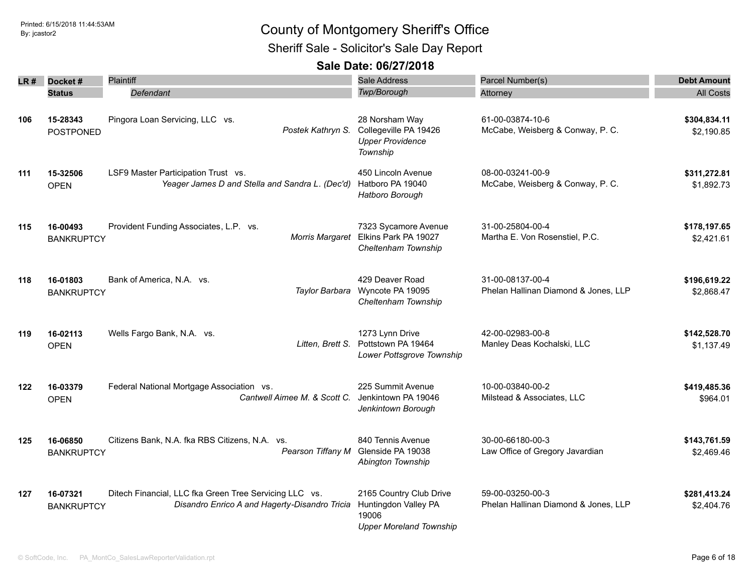### Sheriff Sale - Solicitor's Sale Day Report

|     | $LR#$ Docket#                 | Plaintiff                                                                                               | <b>Sale Address</b>                                                                        | Parcel Number(s)                                         | <b>Debt Amount</b>         |
|-----|-------------------------------|---------------------------------------------------------------------------------------------------------|--------------------------------------------------------------------------------------------|----------------------------------------------------------|----------------------------|
|     | <b>Status</b>                 | Defendant                                                                                               | <b>Twp/Borough</b>                                                                         | Attorney                                                 | <b>All Costs</b>           |
|     |                               |                                                                                                         |                                                                                            |                                                          |                            |
| 106 | 15-28343<br><b>POSTPONED</b>  | Pingora Loan Servicing, LLC vs.<br>Postek Kathryn S.                                                    | 28 Norsham Way<br>Collegeville PA 19426<br><b>Upper Providence</b><br>Township             | 61-00-03874-10-6<br>McCabe, Weisberg & Conway, P. C.     | \$304,834.11<br>\$2,190.85 |
| 111 | 15-32506<br><b>OPEN</b>       | LSF9 Master Participation Trust vs.<br>Yeager James D and Stella and Sandra L. (Dec'd)                  | 450 Lincoln Avenue<br>Hatboro PA 19040<br>Hatboro Borough                                  | 08-00-03241-00-9<br>McCabe, Weisberg & Conway, P. C.     | \$311,272.81<br>\$1,892.73 |
| 115 | 16-00493<br><b>BANKRUPTCY</b> | Provident Funding Associates, L.P. vs.                                                                  | 7323 Sycamore Avenue<br>Morris Margaret Elkins Park PA 19027<br>Cheltenham Township        | 31-00-25804-00-4<br>Martha E. Von Rosenstiel, P.C.       | \$178,197.65<br>\$2,421.61 |
| 118 | 16-01803<br><b>BANKRUPTCY</b> | Bank of America, N.A. vs.<br>Taylor Barbara                                                             | 429 Deaver Road<br>Wyncote PA 19095<br>Cheltenham Township                                 | 31-00-08137-00-4<br>Phelan Hallinan Diamond & Jones, LLP | \$196,619.22<br>\$2,868.47 |
| 119 | 16-02113<br><b>OPEN</b>       | Wells Fargo Bank, N.A. vs.<br>Litten, Brett S.                                                          | 1273 Lynn Drive<br>Pottstown PA 19464<br>Lower Pottsgrove Township                         | 42-00-02983-00-8<br>Manley Deas Kochalski, LLC           | \$142,528.70<br>\$1,137.49 |
| 122 | 16-03379<br><b>OPEN</b>       | Federal National Mortgage Association vs.<br>Cantwell Aimee M. & Scott C.                               | 225 Summit Avenue<br>Jenkintown PA 19046<br>Jenkintown Borough                             | 10-00-03840-00-2<br>Milstead & Associates, LLC           | \$419,485.36<br>\$964.01   |
| 125 | 16-06850<br><b>BANKRUPTCY</b> | Citizens Bank, N.A. fka RBS Citizens, N.A. vs.                                                          | 840 Tennis Avenue<br>Pearson Tiffany M Glenside PA 19038<br>Abington Township              | 30-00-66180-00-3<br>Law Office of Gregory Javardian      | \$143,761.59<br>\$2,469.46 |
| 127 | 16-07321<br><b>BANKRUPTCY</b> | Ditech Financial, LLC fka Green Tree Servicing LLC vs.<br>Disandro Enrico A and Hagerty-Disandro Tricia | 2165 Country Club Drive<br>Huntingdon Valley PA<br>19006<br><b>Upper Moreland Township</b> | 59-00-03250-00-3<br>Phelan Hallinan Diamond & Jones, LLP | \$281,413.24<br>\$2,404.76 |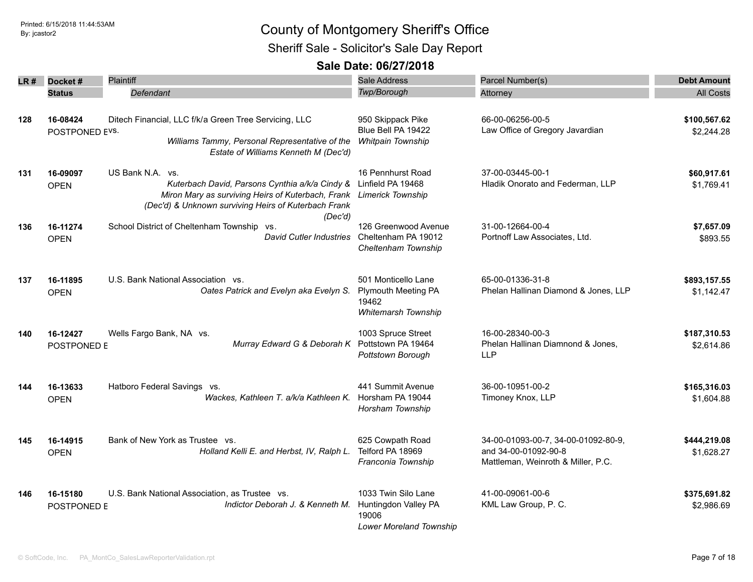### Printed: 6/15/2018 11:44:53AM **By:** jcastor2 Sheriff Sale - Solicitor's Sale Day Report

| LR # | Docket#<br><b>Status</b>   | <b>Plaintiff</b><br>Defendant                                                                                                                                                                     | <b>Sale Address</b><br>Twp/Borough                                                | Parcel Number(s)<br>Attorney                                                                      | <b>Debt Amount</b><br><b>All Costs</b> |
|------|----------------------------|---------------------------------------------------------------------------------------------------------------------------------------------------------------------------------------------------|-----------------------------------------------------------------------------------|---------------------------------------------------------------------------------------------------|----------------------------------------|
| 128  | 16-08424<br>POSTPONED EVS. | Ditech Financial, LLC f/k/a Green Tree Servicing, LLC<br>Williams Tammy, Personal Representative of the<br>Estate of Williams Kenneth M (Dec'd)                                                   | 950 Skippack Pike<br>Blue Bell PA 19422<br>Whitpain Township                      | 66-00-06256-00-5<br>Law Office of Gregory Javardian                                               | \$100,567.62<br>\$2,244.28             |
| 131  | 16-09097<br><b>OPEN</b>    | US Bank N.A. vs.<br>Kuterbach David, Parsons Cynthia a/k/a Cindy &<br>Miron Mary as surviving Heirs of Kuterbach, Frank Limerick Township<br>(Dec'd) & Unknown surviving Heirs of Kuterbach Frank | 16 Pennhurst Road<br>Linfield PA 19468                                            | 37-00-03445-00-1<br>Hladik Onorato and Federman, LLP                                              | \$60,917.61<br>\$1,769.41              |
| 136  | 16-11274<br><b>OPEN</b>    | (Dec'd)<br>School District of Cheltenham Township vs.<br><b>David Cutler Industries</b>                                                                                                           | 126 Greenwood Avenue<br>Cheltenham PA 19012<br>Cheltenham Township                | 31-00-12664-00-4<br>Portnoff Law Associates, Ltd.                                                 | \$7,657.09<br>\$893.55                 |
| 137  | 16-11895<br><b>OPEN</b>    | U.S. Bank National Association vs.<br>Oates Patrick and Evelyn aka Evelyn S.                                                                                                                      | 501 Monticello Lane<br><b>Plymouth Meeting PA</b><br>19462<br>Whitemarsh Township | 65-00-01336-31-8<br>Phelan Hallinan Diamond & Jones, LLP                                          | \$893,157.55<br>\$1,142.47             |
| 140  | 16-12427<br>POSTPONED E    | Wells Fargo Bank, NA vs.<br>Murray Edward G & Deborah K                                                                                                                                           | 1003 Spruce Street<br>Pottstown PA 19464<br>Pottstown Borough                     | 16-00-28340-00-3<br>Phelan Hallinan Diamnond & Jones,<br><b>LLP</b>                               | \$187,310.53<br>\$2,614.86             |
| 144  | 16-13633<br><b>OPEN</b>    | Hatboro Federal Savings vs.<br>Wackes, Kathleen T. a/k/a Kathleen K. Horsham PA 19044                                                                                                             | 441 Summit Avenue<br>Horsham Township                                             | 36-00-10951-00-2<br>Timoney Knox, LLP                                                             | \$165,316.03<br>\$1,604.88             |
| 145  | 16-14915<br><b>OPEN</b>    | Bank of New York as Trustee vs.<br>Holland Kelli E. and Herbst, IV, Ralph L.                                                                                                                      | 625 Cowpath Road<br>Telford PA 18969<br>Franconia Township                        | 34-00-01093-00-7, 34-00-01092-80-9,<br>and 34-00-01092-90-8<br>Mattleman, Weinroth & Miller, P.C. | \$444,219.08<br>\$1,628.27             |
| 146  | 16-15180<br>POSTPONED E    | U.S. Bank National Association, as Trustee vs.<br>Indictor Deborah J. & Kenneth M.                                                                                                                | 1033 Twin Silo Lane<br>Huntingdon Valley PA<br>19006<br>Lower Moreland Township   | 41-00-09061-00-6<br>KML Law Group, P. C.                                                          | \$375,691.82<br>\$2,986.69             |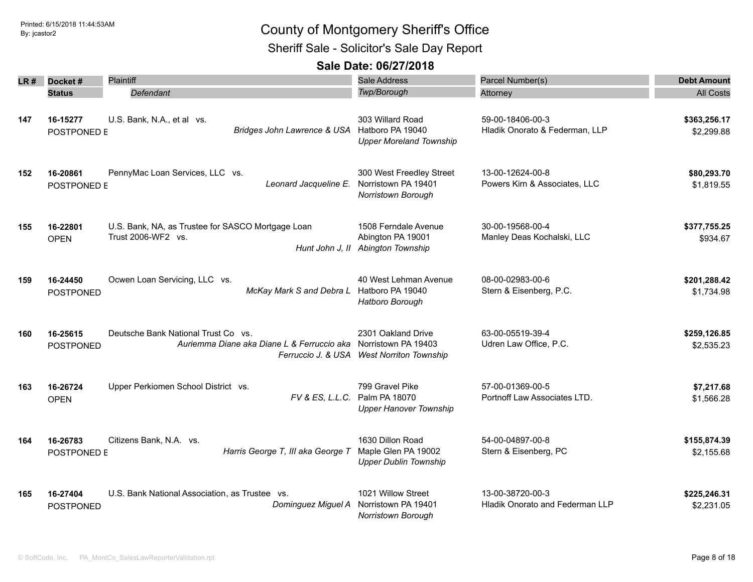Sheriff Sale - Solicitor's Sale Day Report

| LR# | Docket#                      | Plaintiff                                                                         | Sale Address                                                                           | Parcel Number(s)                                    | <b>Debt Amount</b>         |
|-----|------------------------------|-----------------------------------------------------------------------------------|----------------------------------------------------------------------------------------|-----------------------------------------------------|----------------------------|
|     | <b>Status</b>                | Defendant                                                                         | Twp/Borough                                                                            | Attorney                                            | <b>All Costs</b>           |
| 147 | 16-15277<br>POSTPONED E      | U.S. Bank, N.A., et al vs.<br>Bridges John Lawrence & USA                         | 303 Willard Road<br>Hatboro PA 19040<br><b>Upper Moreland Township</b>                 | 59-00-18406-00-3<br>Hladik Onorato & Federman, LLP  | \$363,256.17<br>\$2,299.88 |
| 152 | 16-20861<br>POSTPONED E      | PennyMac Loan Services, LLC vs.<br>Leonard Jacqueline E.                          | 300 West Freedley Street<br>Norristown PA 19401<br>Norristown Borough                  | 13-00-12624-00-8<br>Powers Kirn & Associates, LLC   | \$80,293.70<br>\$1,819.55  |
| 155 | 16-22801<br><b>OPEN</b>      | U.S. Bank, NA, as Trustee for SASCO Mortgage Loan<br>Trust 2006-WF2 vs.           | 1508 Ferndale Avenue<br>Abington PA 19001<br>Hunt John J, II Abington Township         | 30-00-19568-00-4<br>Manley Deas Kochalski, LLC      | \$377,755.25<br>\$934.67   |
| 159 | 16-24450<br><b>POSTPONED</b> | Ocwen Loan Servicing, LLC vs.<br>McKay Mark S and Debra L                         | 40 West Lehman Avenue<br>Hatboro PA 19040<br>Hatboro Borough                           | 08-00-02983-00-6<br>Stern & Eisenberg, P.C.         | \$201,288.42<br>\$1,734.98 |
| 160 | 16-25615<br><b>POSTPONED</b> | Deutsche Bank National Trust Co vs.<br>Auriemma Diane aka Diane L & Ferruccio aka | 2301 Oakland Drive<br>Norristown PA 19403<br>Ferruccio J. & USA West Norriton Township | 63-00-05519-39-4<br>Udren Law Office, P.C.          | \$259,126.85<br>\$2,535.23 |
| 163 | 16-26724<br><b>OPEN</b>      | Upper Perkiomen School District vs.<br>FV & ES, L.L.C.                            | 799 Gravel Pike<br>Palm PA 18070<br><b>Upper Hanover Township</b>                      | 57-00-01369-00-5<br>Portnoff Law Associates LTD.    | \$7,217.68<br>\$1,566.28   |
| 164 | 16-26783<br>POSTPONED E      | Citizens Bank, N.A. vs.<br>Harris George T, III aka George T                      | 1630 Dillon Road<br>Maple Glen PA 19002<br><b>Upper Dublin Township</b>                | 54-00-04897-00-8<br>Stern & Eisenberg, PC           | \$155,874.39<br>\$2,155.68 |
| 165 | 16-27404<br><b>POSTPONED</b> | U.S. Bank National Association, as Trustee vs.<br>Dominguez Miguel A              | 1021 Willow Street<br>Norristown PA 19401<br>Norristown Borough                        | 13-00-38720-00-3<br>Hladik Onorato and Federman LLP | \$225,246.31<br>\$2,231.05 |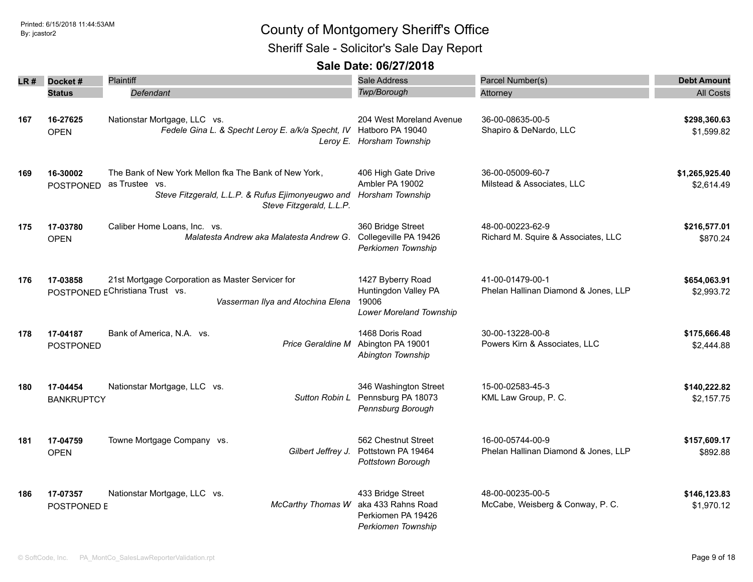Sheriff Sale - Solicitor's Sale Day Report

| LR # | Docket#<br><b>Status</b>      | <b>Plaintiff</b><br>Defendant                                                                                                |                                          | Sale Address<br>Twp/Borough                                                         | Parcel Number(s)<br>Attorney                             | <b>Debt Amount</b><br><b>All Costs</b> |
|------|-------------------------------|------------------------------------------------------------------------------------------------------------------------------|------------------------------------------|-------------------------------------------------------------------------------------|----------------------------------------------------------|----------------------------------------|
| 167  | 16-27625<br><b>OPEN</b>       | Nationstar Mortgage, LLC vs.<br>Fedele Gina L. & Specht Leroy E. a/k/a Specht, IV Hatboro PA 19040                           |                                          | 204 West Moreland Avenue<br>Leroy E. Horsham Township                               | 36-00-08635-00-5<br>Shapiro & DeNardo, LLC               | \$298,360.63<br>\$1,599.82             |
| 169  | 16-30002<br><b>POSTPONED</b>  | The Bank of New York Mellon fka The Bank of New York,<br>as Trustee vs.<br>Steve Fitzgerald, L.L.P. & Rufus Ejimonyeugwo and | Steve Fitzgerald, L.L.P.                 | 406 High Gate Drive<br>Ambler PA 19002<br>Horsham Township                          | 36-00-05009-60-7<br>Milstead & Associates, LLC           | \$1,265,925.40<br>\$2,614.49           |
| 175  | 17-03780<br><b>OPEN</b>       | Caliber Home Loans, Inc. vs.                                                                                                 | Malatesta Andrew aka Malatesta Andrew G. | 360 Bridge Street<br>Collegeville PA 19426<br>Perkiomen Township                    | 48-00-00223-62-9<br>Richard M. Squire & Associates, LLC  | \$216,577.01<br>\$870.24               |
| 176  | 17-03858                      | 21st Mortgage Corporation as Master Servicer for<br>POSTPONED EChristiana Trust vs.                                          | Vasserman Ilya and Atochina Elena        | 1427 Byberry Road<br>Huntingdon Valley PA<br>19006<br>Lower Moreland Township       | 41-00-01479-00-1<br>Phelan Hallinan Diamond & Jones, LLP | \$654,063.91<br>\$2,993.72             |
| 178  | 17-04187<br>POSTPONED         | Bank of America, N.A. vs.                                                                                                    | Price Geraldine M                        | 1468 Doris Road<br>Abington PA 19001<br>Abington Township                           | 30-00-13228-00-8<br>Powers Kirn & Associates, LLC        | \$175,666.48<br>\$2,444.88             |
| 180  | 17-04454<br><b>BANKRUPTCY</b> | Nationstar Mortgage, LLC vs.                                                                                                 | Sutton Robin L                           | 346 Washington Street<br>Pennsburg PA 18073<br>Pennsburg Borough                    | 15-00-02583-45-3<br>KML Law Group, P. C.                 | \$140,222.82<br>\$2,157.75             |
| 181  | 17-04759<br><b>OPEN</b>       | Towne Mortgage Company vs.                                                                                                   | Gilbert Jeffrey J.                       | 562 Chestnut Street<br>Pottstown PA 19464<br>Pottstown Borough                      | 16-00-05744-00-9<br>Phelan Hallinan Diamond & Jones, LLP | \$157,609.17<br>\$892.88               |
| 186  | 17-07357<br>POSTPONED E       | Nationstar Mortgage, LLC vs.                                                                                                 | <b>McCarthy Thomas W</b>                 | 433 Bridge Street<br>aka 433 Rahns Road<br>Perkiomen PA 19426<br>Perkiomen Township | 48-00-00235-00-5<br>McCabe, Weisberg & Conway, P. C.     | \$146,123.83<br>\$1,970.12             |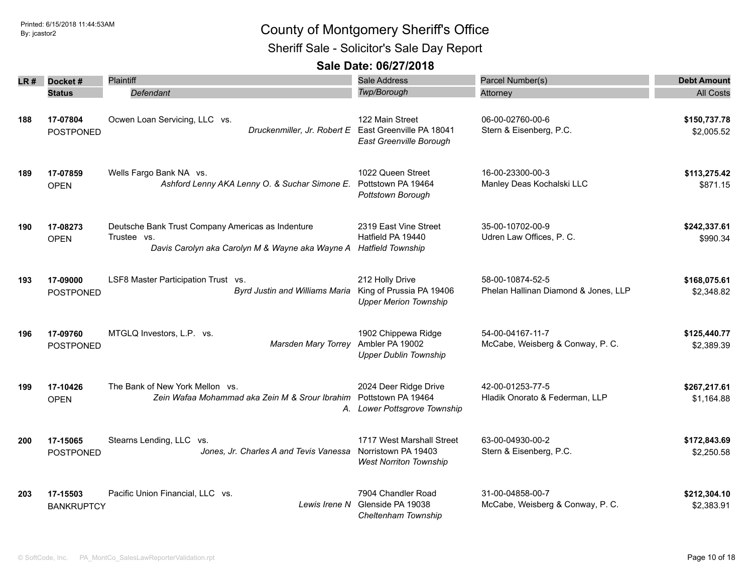Sheriff Sale - Solicitor's Sale Day Report

| LR # | Docket#                       | Plaintiff                                                                                                           | Sale Address                                                                      | Parcel Number(s)                                         | <b>Debt Amount</b>         |
|------|-------------------------------|---------------------------------------------------------------------------------------------------------------------|-----------------------------------------------------------------------------------|----------------------------------------------------------|----------------------------|
|      | <b>Status</b>                 | Defendant                                                                                                           | Twp/Borough                                                                       | Attorney                                                 | <b>All Costs</b>           |
| 188  | 17-07804<br><b>POSTPONED</b>  | Ocwen Loan Servicing, LLC vs.<br>Druckenmiller, Jr. Robert E East Greenville PA 18041                               | 122 Main Street<br>East Greenville Borough                                        | 06-00-02760-00-6<br>Stern & Eisenberg, P.C.              | \$150,737.78<br>\$2,005.52 |
| 189  | 17-07859<br><b>OPEN</b>       | Wells Fargo Bank NA vs.<br>Ashford Lenny AKA Lenny O. & Suchar Simone E.                                            | 1022 Queen Street<br>Pottstown PA 19464<br>Pottstown Borough                      | 16-00-23300-00-3<br>Manley Deas Kochalski LLC            | \$113,275.42<br>\$871.15   |
| 190  | 17-08273<br><b>OPEN</b>       | Deutsche Bank Trust Company Americas as Indenture<br>Trustee vs.<br>Davis Carolyn aka Carolyn M & Wayne aka Wayne A | 2319 East Vine Street<br>Hatfield PA 19440<br><b>Hatfield Township</b>            | 35-00-10702-00-9<br>Udren Law Offices, P. C.             | \$242,337.61<br>\$990.34   |
| 193  | 17-09000<br><b>POSTPONED</b>  | LSF8 Master Participation Trust vs.<br><b>Byrd Justin and Williams Maria</b>                                        | 212 Holly Drive<br>King of Prussia PA 19406<br><b>Upper Merion Township</b>       | 58-00-10874-52-5<br>Phelan Hallinan Diamond & Jones, LLP | \$168,075.61<br>\$2,348.82 |
| 196  | 17-09760<br><b>POSTPONED</b>  | MTGLQ Investors, L.P. vs.<br>Marsden Mary Torrey                                                                    | 1902 Chippewa Ridge<br>Ambler PA 19002<br><b>Upper Dublin Township</b>            | 54-00-04167-11-7<br>McCabe, Weisberg & Conway, P. C.     | \$125,440.77<br>\$2,389.39 |
| 199  | 17-10426<br><b>OPEN</b>       | The Bank of New York Mellon vs.<br>Zein Wafaa Mohammad aka Zein M & Srour Ibrahim                                   | 2024 Deer Ridge Drive<br>Pottstown PA 19464<br>A. Lower Pottsgrove Township       | 42-00-01253-77-5<br>Hladik Onorato & Federman, LLP       | \$267,217.61<br>\$1,164.88 |
| 200  | 17-15065<br><b>POSTPONED</b>  | Stearns Lending, LLC vs.<br>Jones, Jr. Charles A and Tevis Vanessa                                                  | 1717 West Marshall Street<br>Norristown PA 19403<br><b>West Norriton Township</b> | 63-00-04930-00-2<br>Stern & Eisenberg, P.C.              | \$172,843.69<br>\$2,250.58 |
| 203  | 17-15503<br><b>BANKRUPTCY</b> | Pacific Union Financial, LLC vs.<br>Lewis Irene N                                                                   | 7904 Chandler Road<br>Glenside PA 19038<br>Cheltenham Township                    | 31-00-04858-00-7<br>McCabe, Weisberg & Conway, P. C.     | \$212,304.10<br>\$2,383.91 |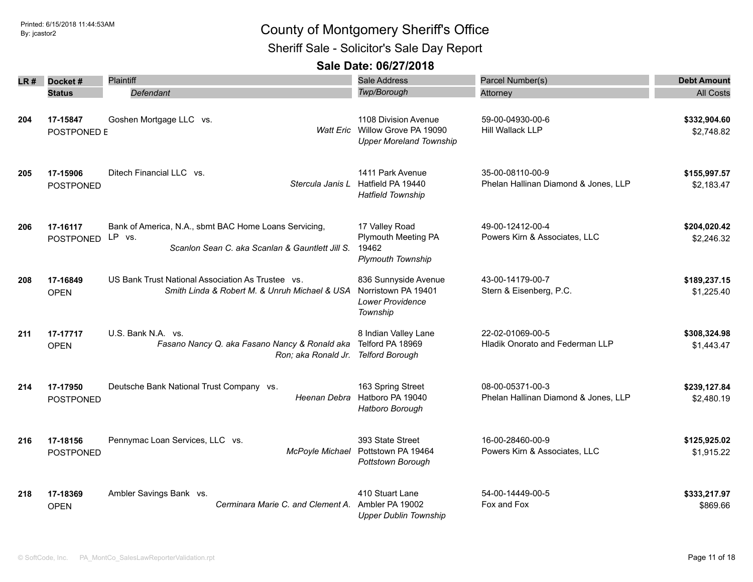Sheriff Sale - Solicitor's Sale Day Report

| LR # | Docket#<br><b>Status</b>     | Plaintiff<br>Defendant                                                                                             | <b>Sale Address</b><br>Twp/Borough                                                        | Parcel Number(s)<br>Attorney                             | <b>Debt Amount</b><br><b>All Costs</b> |
|------|------------------------------|--------------------------------------------------------------------------------------------------------------------|-------------------------------------------------------------------------------------------|----------------------------------------------------------|----------------------------------------|
| 204  | 17-15847<br>POSTPONED E      | Goshen Mortgage LLC vs.                                                                                            | 1108 Division Avenue<br>Watt Eric Willow Grove PA 19090<br><b>Upper Moreland Township</b> | 59-00-04930-00-6<br>Hill Wallack LLP                     | \$332,904.60<br>\$2,748.82             |
| 205  | 17-15906<br><b>POSTPONED</b> | Ditech Financial LLC vs.                                                                                           | 1411 Park Avenue<br>Stercula Janis L Hatfield PA 19440<br><b>Hatfield Township</b>        | 35-00-08110-00-9<br>Phelan Hallinan Diamond & Jones, LLP | \$155,997.57<br>\$2,183.47             |
| 206  | 17-16117<br><b>POSTPONED</b> | Bank of America, N.A., sbmt BAC Home Loans Servicing,<br>LP vs.<br>Scanlon Sean C. aka Scanlan & Gauntlett Jill S. | 17 Valley Road<br>Plymouth Meeting PA<br>19462<br><b>Plymouth Township</b>                | 49-00-12412-00-4<br>Powers Kirn & Associates, LLC        | \$204,020.42<br>\$2,246.32             |
| 208  | 17-16849<br><b>OPEN</b>      | US Bank Trust National Association As Trustee vs.<br>Smith Linda & Robert M. & Unruh Michael & USA                 | 836 Sunnyside Avenue<br>Norristown PA 19401<br><b>Lower Providence</b><br>Township        | 43-00-14179-00-7<br>Stern & Eisenberg, P.C.              | \$189,237.15<br>\$1,225.40             |
| 211  | 17-17717<br><b>OPEN</b>      | U.S. Bank N.A. vs.<br>Fasano Nancy Q. aka Fasano Nancy & Ronald aka<br>Ron; aka Ronald Jr.                         | 8 Indian Valley Lane<br>Telford PA 18969<br><b>Telford Borough</b>                        | 22-02-01069-00-5<br>Hladik Onorato and Federman LLP      | \$308,324.98<br>\$1,443.47             |
| 214  | 17-17950<br><b>POSTPONED</b> | Deutsche Bank National Trust Company vs.<br>Heenan Debra                                                           | 163 Spring Street<br>Hatboro PA 19040<br>Hatboro Borough                                  | 08-00-05371-00-3<br>Phelan Hallinan Diamond & Jones, LLP | \$239,127.84<br>\$2,480.19             |
| 216  | 17-18156<br>POSTPONED        | Pennymac Loan Services, LLC vs.<br>McPoyle Michael                                                                 | 393 State Street<br>Pottstown PA 19464<br>Pottstown Borough                               | 16-00-28460-00-9<br>Powers Kirn & Associates, LLC        | \$125,925.02<br>\$1,915.22             |
| 218  | 17-18369<br><b>OPEN</b>      | Ambler Savings Bank vs.<br>Cerminara Marie C. and Clement A.                                                       | 410 Stuart Lane<br>Ambler PA 19002<br><b>Upper Dublin Township</b>                        | 54-00-14449-00-5<br>Fox and Fox                          | \$333,217.97<br>\$869.66               |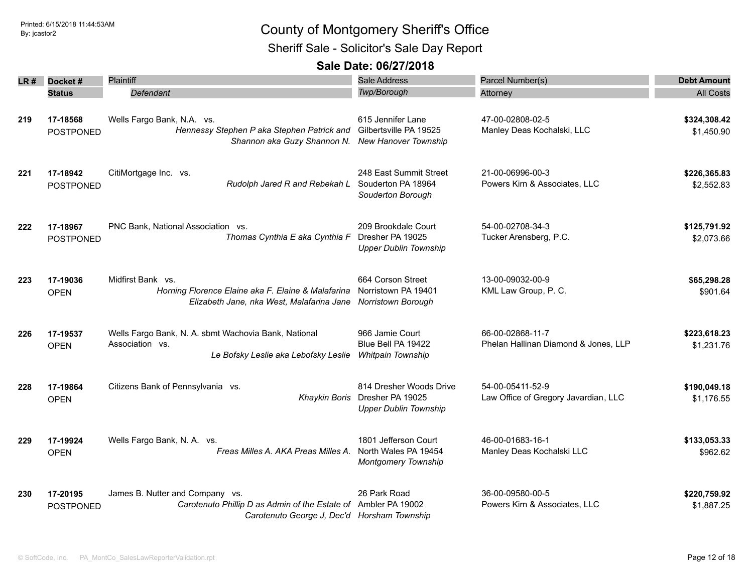Sheriff Sale - Solicitor's Sale Day Report

| LR # | Docket#                      | Plaintiff                                                                                                                        | Sale Address                                                                | Parcel Number(s)                                         | <b>Debt Amount</b>         |
|------|------------------------------|----------------------------------------------------------------------------------------------------------------------------------|-----------------------------------------------------------------------------|----------------------------------------------------------|----------------------------|
|      | <b>Status</b>                | Defendant                                                                                                                        | Twp/Borough                                                                 | Attorney                                                 | <b>All Costs</b>           |
| 219  | 17-18568<br><b>POSTPONED</b> | Wells Fargo Bank, N.A. vs.<br>Hennessy Stephen P aka Stephen Patrick and<br>Shannon aka Guzy Shannon N. New Hanover Township     | 615 Jennifer Lane<br>Gilbertsville PA 19525                                 | 47-00-02808-02-5<br>Manley Deas Kochalski, LLC           | \$324,308.42<br>\$1,450.90 |
| 221  | 17-18942<br><b>POSTPONED</b> | CitiMortgage Inc. vs.<br>Rudolph Jared R and Rebekah L Souderton PA 18964                                                        | 248 East Summit Street<br>Souderton Borough                                 | 21-00-06996-00-3<br>Powers Kirn & Associates, LLC        | \$226,365.83<br>\$2,552.83 |
| 222  | 17-18967<br><b>POSTPONED</b> | PNC Bank, National Association vs.<br>Thomas Cynthia E aka Cynthia F                                                             | 209 Brookdale Court<br>Dresher PA 19025<br><b>Upper Dublin Township</b>     | 54-00-02708-34-3<br>Tucker Arensberg, P.C.               | \$125,791.92<br>\$2,073.66 |
| 223  | 17-19036<br><b>OPEN</b>      | Midfirst Bank vs.<br>Horning Florence Elaine aka F. Elaine & Malafarina<br>Elizabeth Jane, nka West, Malafarina Jane             | 664 Corson Street<br>Norristown PA 19401<br>Norristown Borough              | 13-00-09032-00-9<br>KML Law Group, P. C.                 | \$65,298.28<br>\$901.64    |
| 226  | 17-19537<br><b>OPEN</b>      | Wells Fargo Bank, N. A. sbmt Wachovia Bank, National<br>Association vs.<br>Le Bofsky Leslie aka Lebofsky Leslie                  | 966 Jamie Court<br>Blue Bell PA 19422<br>Whitpain Township                  | 66-00-02868-11-7<br>Phelan Hallinan Diamond & Jones, LLP | \$223,618.23<br>\$1,231.76 |
| 228  | 17-19864<br><b>OPEN</b>      | Citizens Bank of Pennsylvania vs.<br><b>Khaykin Boris</b>                                                                        | 814 Dresher Woods Drive<br>Dresher PA 19025<br><b>Upper Dublin Township</b> | 54-00-05411-52-9<br>Law Office of Gregory Javardian, LLC | \$190,049.18<br>\$1,176.55 |
| 229  | 17-19924<br><b>OPEN</b>      | Wells Fargo Bank, N. A. vs.<br>Freas Milles A. AKA Preas Milles A.                                                               | 1801 Jefferson Court<br>North Wales PA 19454<br><b>Montgomery Township</b>  | 46-00-01683-16-1<br>Manley Deas Kochalski LLC            | \$133,053.33<br>\$962.62   |
| 230  | 17-20195<br><b>POSTPONED</b> | James B. Nutter and Company vs.<br>Carotenuto Phillip D as Admin of the Estate of<br>Carotenuto George J, Dec'd Horsham Township | 26 Park Road<br>Ambler PA 19002                                             | 36-00-09580-00-5<br>Powers Kirn & Associates, LLC        | \$220,759.92<br>\$1,887.25 |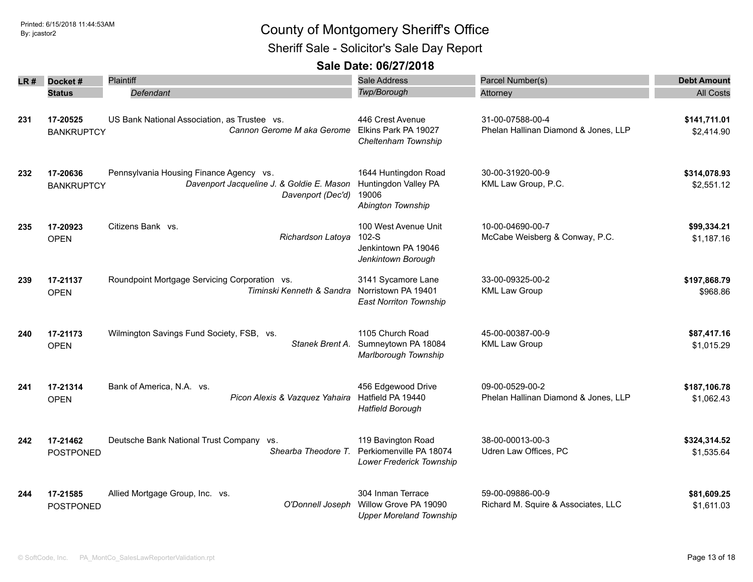Sheriff Sale - Solicitor's Sale Day Report

| LR# | Docket#                       | Plaintiff                                                                                                 | Sale Address                                                                                  | Parcel Number(s)                                         | <b>Debt Amount</b>         |
|-----|-------------------------------|-----------------------------------------------------------------------------------------------------------|-----------------------------------------------------------------------------------------------|----------------------------------------------------------|----------------------------|
|     | <b>Status</b>                 | Defendant                                                                                                 | Twp/Borough                                                                                   | Attorney                                                 | <b>All Costs</b>           |
| 231 | 17-20525<br><b>BANKRUPTCY</b> | US Bank National Association, as Trustee vs.<br>Cannon Gerome M aka Gerome                                | 446 Crest Avenue<br>Elkins Park PA 19027<br>Cheltenham Township                               | 31-00-07588-00-4<br>Phelan Hallinan Diamond & Jones, LLP | \$141,711.01<br>\$2,414.90 |
| 232 | 17-20636<br><b>BANKRUPTCY</b> | Pennsylvania Housing Finance Agency vs.<br>Davenport Jacqueline J. & Goldie E. Mason<br>Davenport (Dec'd) | 1644 Huntingdon Road<br>Huntingdon Valley PA<br>19006<br>Abington Township                    | 30-00-31920-00-9<br>KML Law Group, P.C.                  | \$314,078.93<br>\$2,551.12 |
| 235 | 17-20923<br><b>OPEN</b>       | Citizens Bank vs.<br>Richardson Latoya                                                                    | 100 West Avenue Unit<br>$102-S$<br>Jenkintown PA 19046<br>Jenkintown Borough                  | 10-00-04690-00-7<br>McCabe Weisberg & Conway, P.C.       | \$99,334.21<br>\$1,187.16  |
| 239 | 17-21137<br><b>OPEN</b>       | Roundpoint Mortgage Servicing Corporation vs.<br>Timinski Kenneth & Sandra                                | 3141 Sycamore Lane<br>Norristown PA 19401<br><b>East Norriton Township</b>                    | 33-00-09325-00-2<br><b>KML Law Group</b>                 | \$197,868.79<br>\$968.86   |
| 240 | 17-21173<br><b>OPEN</b>       | Wilmington Savings Fund Society, FSB, vs.<br>Stanek Brent A.                                              | 1105 Church Road<br>Sumneytown PA 18084<br>Marlborough Township                               | 45-00-00387-00-9<br><b>KML Law Group</b>                 | \$87,417.16<br>\$1,015.29  |
| 241 | 17-21314<br><b>OPEN</b>       | Bank of America, N.A. vs.<br>Picon Alexis & Vazquez Yahaira                                               | 456 Edgewood Drive<br>Hatfield PA 19440<br><b>Hatfield Borough</b>                            | 09-00-0529-00-2<br>Phelan Hallinan Diamond & Jones, LLP  | \$187,106.78<br>\$1,062.43 |
| 242 | 17-21462<br><b>POSTPONED</b>  | Deutsche Bank National Trust Company vs.<br>Shearba Theodore T.                                           | 119 Bavington Road<br>Perkiomenville PA 18074<br>Lower Frederick Township                     | 38-00-00013-00-3<br>Udren Law Offices, PC                | \$324,314.52<br>\$1,535.64 |
| 244 | 17-21585<br>POSTPONED         | Allied Mortgage Group, Inc. vs.                                                                           | 304 Inman Terrace<br>O'Donnell Joseph Willow Grove PA 19090<br><b>Upper Moreland Township</b> | 59-00-09886-00-9<br>Richard M. Squire & Associates, LLC  | \$81,609.25<br>\$1,611.03  |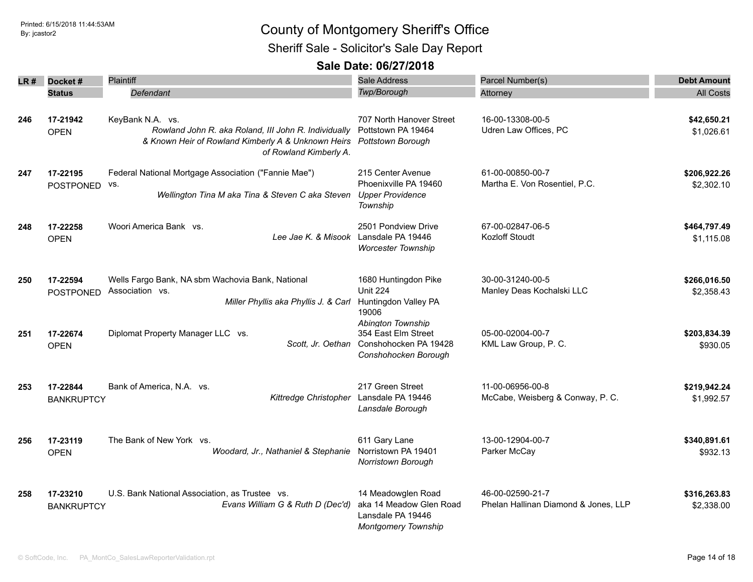Sheriff Sale - Solicitor's Sale Day Report

| LR# | Docket#                       | Plaintiff                                                                                                                                                | <b>Sale Address</b>                                                                              | Parcel Number(s)                                         | <b>Debt Amount</b>         |
|-----|-------------------------------|----------------------------------------------------------------------------------------------------------------------------------------------------------|--------------------------------------------------------------------------------------------------|----------------------------------------------------------|----------------------------|
|     | <b>Status</b>                 | Defendant                                                                                                                                                | <b>Twp/Borough</b>                                                                               | Attorney                                                 | <b>All Costs</b>           |
| 246 | 17-21942<br><b>OPEN</b>       | KeyBank N.A. vs.<br>Rowland John R. aka Roland, III John R. Individually<br>& Known Heir of Rowland Kimberly A & Unknown Heirs<br>of Rowland Kimberly A. | 707 North Hanover Street<br>Pottstown PA 19464<br><b>Pottstown Borough</b>                       | 16-00-13308-00-5<br>Udren Law Offices, PC                | \$42,650.21<br>\$1,026.61  |
| 247 | 17-22195<br>POSTPONED         | Federal National Mortgage Association ("Fannie Mae")<br>VS.<br>Wellington Tina M aka Tina & Steven C aka Steven                                          | 215 Center Avenue<br>Phoenixville PA 19460<br><b>Upper Providence</b><br>Township                | 61-00-00850-00-7<br>Martha E. Von Rosentiel, P.C.        | \$206,922.26<br>\$2,302.10 |
| 248 | 17-22258<br><b>OPEN</b>       | Woori America Bank vs.<br>Lee Jae K. & Misook Lansdale PA 19446                                                                                          | 2501 Pondview Drive<br><b>Worcester Township</b>                                                 | 67-00-02847-06-5<br>Kozloff Stoudt                       | \$464,797.49<br>\$1,115.08 |
| 250 | 17-22594<br>POSTPONED         | Wells Fargo Bank, NA sbm Wachovia Bank, National<br>Association vs.<br>Miller Phyllis aka Phyllis J. & Carl                                              | 1680 Huntingdon Pike<br><b>Unit 224</b><br>Huntingdon Valley PA<br>19006                         | 30-00-31240-00-5<br>Manley Deas Kochalski LLC            | \$266,016.50<br>\$2,358.43 |
| 251 | 17-22674<br><b>OPEN</b>       | Diplomat Property Manager LLC vs.<br>Scott. Jr. Oethan                                                                                                   | Abington Township<br>354 East Elm Street<br>Conshohocken PA 19428<br>Conshohocken Borough        | 05-00-02004-00-7<br>KML Law Group, P. C.                 | \$203,834.39<br>\$930.05   |
| 253 | 17-22844<br><b>BANKRUPTCY</b> | Bank of America, N.A. vs.<br>Kittredge Christopher                                                                                                       | 217 Green Street<br>Lansdale PA 19446<br>Lansdale Borough                                        | 11-00-06956-00-8<br>McCabe, Weisberg & Conway, P. C.     | \$219,942.24<br>\$1,992.57 |
| 256 | 17-23119<br><b>OPEN</b>       | The Bank of New York vs.<br>Woodard, Jr., Nathaniel & Stephanie                                                                                          | 611 Gary Lane<br>Norristown PA 19401<br>Norristown Borough                                       | 13-00-12904-00-7<br>Parker McCay                         | \$340,891.61<br>\$932.13   |
| 258 | 17-23210<br><b>BANKRUPTCY</b> | U.S. Bank National Association, as Trustee vs.<br>Evans William G & Ruth D (Dec'd)                                                                       | 14 Meadowglen Road<br>aka 14 Meadow Glen Road<br>Lansdale PA 19446<br><b>Montgomery Township</b> | 46-00-02590-21-7<br>Phelan Hallinan Diamond & Jones, LLP | \$316,263.83<br>\$2,338.00 |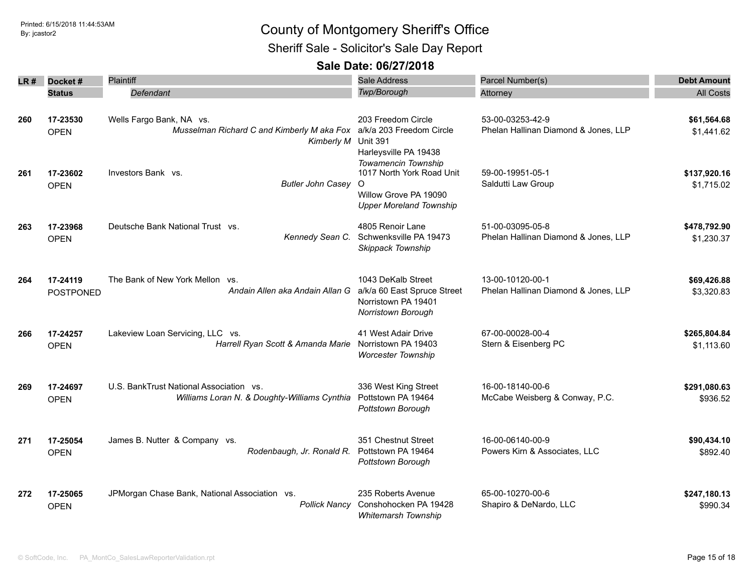Sheriff Sale - Solicitor's Sale Day Report

| LR # | Docket #                     | Plaintiff                                                                                                            | Sale Address                                                                                                                                     | Parcel Number(s)                                         | <b>Debt Amount</b>         |
|------|------------------------------|----------------------------------------------------------------------------------------------------------------------|--------------------------------------------------------------------------------------------------------------------------------------------------|----------------------------------------------------------|----------------------------|
|      | <b>Status</b>                | Defendant                                                                                                            | Twp/Borough                                                                                                                                      | Attorney                                                 | <b>All Costs</b>           |
| 260  | 17-23530<br><b>OPEN</b>      | Wells Fargo Bank, NA vs.<br>Musselman Richard C and Kimberly M aka Fox a/k/a 203 Freedom Circle<br><b>Kimberly M</b> | 203 Freedom Circle<br><b>Unit 391</b>                                                                                                            | 53-00-03253-42-9<br>Phelan Hallinan Diamond & Jones, LLP | \$61,564.68<br>\$1,441.62  |
| 261  | 17-23602<br><b>OPEN</b>      | Investors Bank vs.<br><b>Butler John Casey</b>                                                                       | Harleysville PA 19438<br>Towamencin Township<br>1017 North York Road Unit<br>$\Omega$<br>Willow Grove PA 19090<br><b>Upper Moreland Township</b> | 59-00-19951-05-1<br>Saldutti Law Group                   | \$137,920.16<br>\$1,715.02 |
| 263  | 17-23968<br><b>OPEN</b>      | Deutsche Bank National Trust vs.<br>Kennedy Sean C.                                                                  | 4805 Renoir Lane<br>Schwenksville PA 19473<br>Skippack Township                                                                                  | 51-00-03095-05-8<br>Phelan Hallinan Diamond & Jones, LLP | \$478,792.90<br>\$1,230.37 |
| 264  | 17-24119<br><b>POSTPONED</b> | The Bank of New York Mellon vs.<br>Andain Allen aka Andain Allan G                                                   | 1043 DeKalb Street<br>a/k/a 60 East Spruce Street<br>Norristown PA 19401<br>Norristown Borough                                                   | 13-00-10120-00-1<br>Phelan Hallinan Diamond & Jones, LLP | \$69,426.88<br>\$3,320.83  |
| 266  | 17-24257<br><b>OPEN</b>      | Lakeview Loan Servicing, LLC vs.<br>Harrell Ryan Scott & Amanda Marie                                                | 41 West Adair Drive<br>Norristown PA 19403<br><b>Worcester Township</b>                                                                          | 67-00-00028-00-4<br>Stern & Eisenberg PC                 | \$265,804.84<br>\$1,113.60 |
| 269  | 17-24697<br><b>OPEN</b>      | U.S. BankTrust National Association vs.<br>Williams Loran N. & Doughty-Williams Cynthia                              | 336 West King Street<br>Pottstown PA 19464<br>Pottstown Borough                                                                                  | 16-00-18140-00-6<br>McCabe Weisberg & Conway, P.C.       | \$291,080.63<br>\$936.52   |
| 271  | 17-25054<br><b>OPEN</b>      | James B. Nutter & Company vs.<br>Rodenbaugh, Jr. Ronald R.                                                           | 351 Chestnut Street<br>Pottstown PA 19464<br>Pottstown Borough                                                                                   | 16-00-06140-00-9<br>Powers Kirn & Associates, LLC        | \$90,434.10<br>\$892.40    |
| 272  | 17-25065<br><b>OPEN</b>      | JPMorgan Chase Bank, National Association vs.<br><b>Pollick Nancy</b>                                                | 235 Roberts Avenue<br>Conshohocken PA 19428<br><b>Whitemarsh Township</b>                                                                        | 65-00-10270-00-6<br>Shapiro & DeNardo, LLC               | \$247,180.13<br>\$990.34   |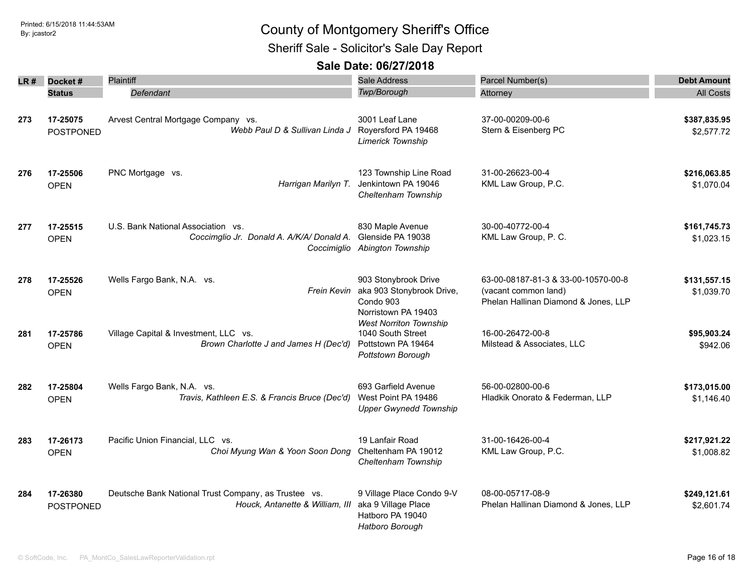Sheriff Sale - Solicitor's Sale Day Report

| LR # | Docket#                      | <b>Plaintiff</b>                                                                        | <b>Sale Address</b>                                                                               | Parcel Number(s)                                                                                    | <b>Debt Amount</b>         |
|------|------------------------------|-----------------------------------------------------------------------------------------|---------------------------------------------------------------------------------------------------|-----------------------------------------------------------------------------------------------------|----------------------------|
|      | <b>Status</b>                | Defendant                                                                               | Twp/Borough                                                                                       | Attorney                                                                                            | <b>All Costs</b>           |
| 273  | 17-25075<br><b>POSTPONED</b> | Arvest Central Mortgage Company vs.<br>Webb Paul D & Sullivan Linda J                   | 3001 Leaf Lane<br>Royersford PA 19468<br>Limerick Township                                        | 37-00-00209-00-6<br>Stern & Eisenberg PC                                                            | \$387,835.95<br>\$2,577.72 |
| 276  | 17-25506<br><b>OPEN</b>      | PNC Mortgage vs.<br>Harrigan Marilyn T.                                                 | 123 Township Line Road<br>Jenkintown PA 19046<br>Cheltenham Township                              | 31-00-26623-00-4<br>KML Law Group, P.C.                                                             | \$216,063.85<br>\$1,070.04 |
| 277  | 17-25515<br><b>OPEN</b>      | U.S. Bank National Association vs.<br>Coccimglio Jr. Donald A. A/K/A/ Donald A.         | 830 Maple Avenue<br>Glenside PA 19038<br>Coccimiglio Abington Township                            | 30-00-40772-00-4<br>KML Law Group, P. C.                                                            | \$161,745.73<br>\$1,023.15 |
| 278  | 17-25526<br><b>OPEN</b>      | Wells Fargo Bank, N.A. vs.                                                              | 903 Stonybrook Drive<br>Frein Kevin aka 903 Stonybrook Drive,<br>Condo 903<br>Norristown PA 19403 | 63-00-08187-81-3 & 33-00-10570-00-8<br>(vacant common land)<br>Phelan Hallinan Diamond & Jones, LLP | \$131,557.15<br>\$1,039.70 |
| 281  | 17-25786<br><b>OPEN</b>      | Village Capital & Investment, LLC vs.<br>Brown Charlotte J and James H (Dec'd)          | <b>West Norriton Township</b><br>1040 South Street<br>Pottstown PA 19464<br>Pottstown Borough     | 16-00-26472-00-8<br>Milstead & Associates, LLC                                                      | \$95,903.24<br>\$942.06    |
| 282  | 17-25804<br><b>OPEN</b>      | Wells Fargo Bank, N.A. vs.<br>Travis, Kathleen E.S. & Francis Bruce (Dec'd)             | 693 Garfield Avenue<br>West Point PA 19486<br><b>Upper Gwynedd Township</b>                       | 56-00-02800-00-6<br>Hladkik Onorato & Federman, LLP                                                 | \$173,015.00<br>\$1,146.40 |
| 283  | 17-26173<br><b>OPEN</b>      | Pacific Union Financial, LLC vs.<br>Choi Myung Wan & Yoon Soon Dong                     | 19 Lanfair Road<br>Cheltenham PA 19012<br>Cheltenham Township                                     | 31-00-16426-00-4<br>KML Law Group, P.C.                                                             | \$217,921.22<br>\$1,008.82 |
| 284  | 17-26380<br>POSTPONED        | Deutsche Bank National Trust Company, as Trustee vs.<br>Houck, Antanette & William, III | 9 Village Place Condo 9-V<br>aka 9 Village Place<br>Hatboro PA 19040<br>Hatboro Borough           | 08-00-05717-08-9<br>Phelan Hallinan Diamond & Jones, LLP                                            | \$249,121.61<br>\$2,601.74 |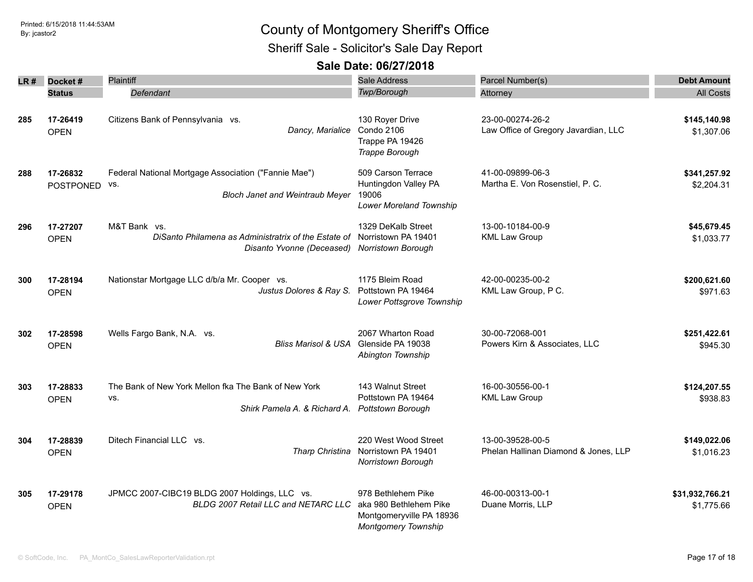### Printed: 6/15/2018 11:44:53AM **By:** jcastor2 Sheriff Sale - Solicitor's Sale Day Report

| LR # | Docket#<br><b>Status</b>     | <b>Plaintiff</b><br>Defendant                                                                                        | <b>Sale Address</b><br>Twp/Borough                                                              | Parcel Number(s)<br>Attorney                             | <b>Debt Amount</b><br><b>All Costs</b> |
|------|------------------------------|----------------------------------------------------------------------------------------------------------------------|-------------------------------------------------------------------------------------------------|----------------------------------------------------------|----------------------------------------|
| 285  | 17-26419<br><b>OPEN</b>      | Citizens Bank of Pennsylvania vs.<br>Dancy, Marialice                                                                | 130 Royer Drive<br>Condo 2106<br>Trappe PA 19426<br>Trappe Borough                              | 23-00-00274-26-2<br>Law Office of Gregory Javardian, LLC | \$145,140.98<br>\$1,307.06             |
| 288  | 17-26832<br><b>POSTPONED</b> | Federal National Mortgage Association ("Fannie Mae")<br>VS.<br><b>Bloch Janet and Weintraub Meyer</b>                | 509 Carson Terrace<br>Huntingdon Valley PA<br>19006<br>Lower Moreland Township                  | 41-00-09899-06-3<br>Martha E. Von Rosenstiel, P. C.      | \$341,257.92<br>\$2,204.31             |
| 296  | 17-27207<br><b>OPEN</b>      | M&T Bank vs.<br>DiSanto Philamena as Administratrix of the Estate of<br>Disanto Yvonne (Deceased) Norristown Borough | 1329 DeKalb Street<br>Norristown PA 19401                                                       | 13-00-10184-00-9<br><b>KML Law Group</b>                 | \$45,679.45<br>\$1,033.77              |
| 300  | 17-28194<br><b>OPEN</b>      | Nationstar Mortgage LLC d/b/a Mr. Cooper vs.<br>Justus Dolores & Ray S.                                              | 1175 Bleim Road<br>Pottstown PA 19464<br>Lower Pottsgrove Township                              | 42-00-00235-00-2<br>KML Law Group, P C.                  | \$200,621.60<br>\$971.63               |
| 302  | 17-28598<br><b>OPEN</b>      | Wells Fargo Bank, N.A. vs.<br><b>Bliss Marisol &amp; USA</b>                                                         | 2067 Wharton Road<br>Glenside PA 19038<br>Abington Township                                     | 30-00-72068-001<br>Powers Kirn & Associates, LLC         | \$251,422.61<br>\$945.30               |
| 303  | 17-28833<br><b>OPEN</b>      | The Bank of New York Mellon fka The Bank of New York<br>VS.<br>Shirk Pamela A. & Richard A.                          | 143 Walnut Street<br>Pottstown PA 19464<br>Pottstown Borough                                    | 16-00-30556-00-1<br><b>KML Law Group</b>                 | \$124,207.55<br>\$938.83               |
| 304  | 17-28839<br><b>OPEN</b>      | Ditech Financial LLC vs.<br>Tharp Christina                                                                          | 220 West Wood Street<br>Norristown PA 19401<br>Norristown Borough                               | 13-00-39528-00-5<br>Phelan Hallinan Diamond & Jones, LLP | \$149,022.06<br>\$1,016.23             |
| 305  | 17-29178<br><b>OPEN</b>      | JPMCC 2007-CIBC19 BLDG 2007 Holdings, LLC vs.<br>BLDG 2007 Retail LLC and NETARC LLC                                 | 978 Bethlehem Pike<br>aka 980 Bethlehem Pike<br>Montgomeryville PA 18936<br>Montgomery Township | 46-00-00313-00-1<br>Duane Morris, LLP                    | \$31,932,766.21<br>\$1,775.66          |